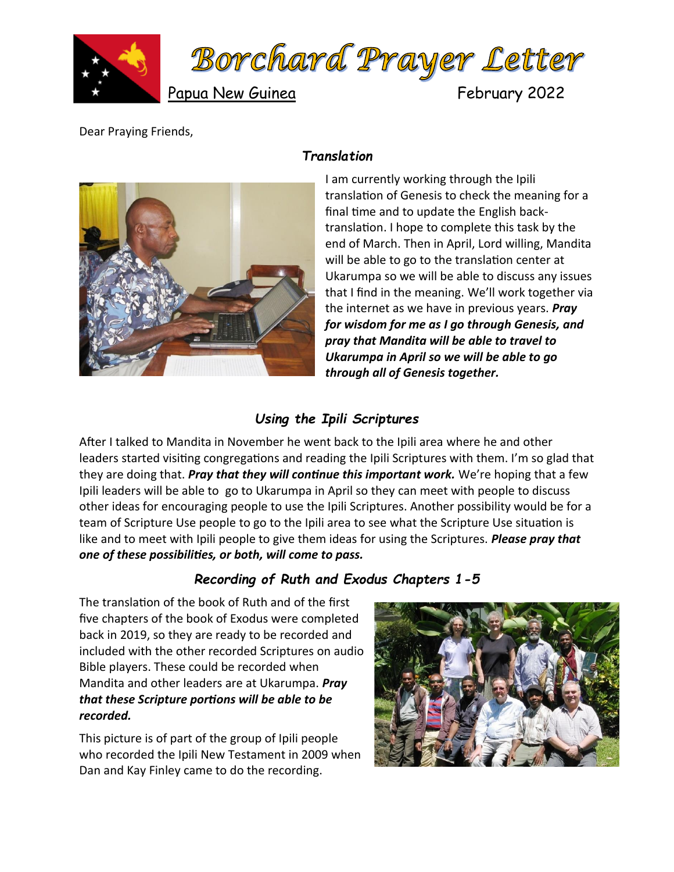



Papua New Guinea February 2022

Dear Praying Friends,

## *Translation*



I am currently working through the Ipili translation of Genesis to check the meaning for a final time and to update the English backtranslation. I hope to complete this task by the end of March. Then in April, Lord willing, Mandita will be able to go to the translation center at Ukarumpa so we will be able to discuss any issues that I find in the meaning. We'll work together via the internet as we have in previous years. *Pray for wisdom for me as I go through Genesis, and pray that Mandita will be able to travel to Ukarumpa in April so we will be able to go through all of Genesis together.*

## *Using the Ipili Scriptures*

After I talked to Mandita in November he went back to the Ipili area where he and other leaders started visiting congregations and reading the Ipili Scriptures with them. I'm so glad that they are doing that. *Pray that they will continue this important work.* We're hoping that a few Ipili leaders will be able to go to Ukarumpa in April so they can meet with people to discuss other ideas for encouraging people to use the Ipili Scriptures. Another possibility would be for a team of Scripture Use people to go to the Ipili area to see what the Scripture Use situation is like and to meet with Ipili people to give them ideas for using the Scriptures. *Please pray that one of these possibilities, or both, will come to pass.*

## *Recording of Ruth and Exodus Chapters 1-5*

The translation of the book of Ruth and of the first five chapters of the book of Exodus were completed back in 2019, so they are ready to be recorded and included with the other recorded Scriptures on audio Bible players. These could be recorded when Mandita and other leaders are at Ukarumpa. *Pray that these Scripture portions will be able to be recorded.*

This picture is of part of the group of Ipili people who recorded the Ipili New Testament in 2009 when Dan and Kay Finley came to do the recording.